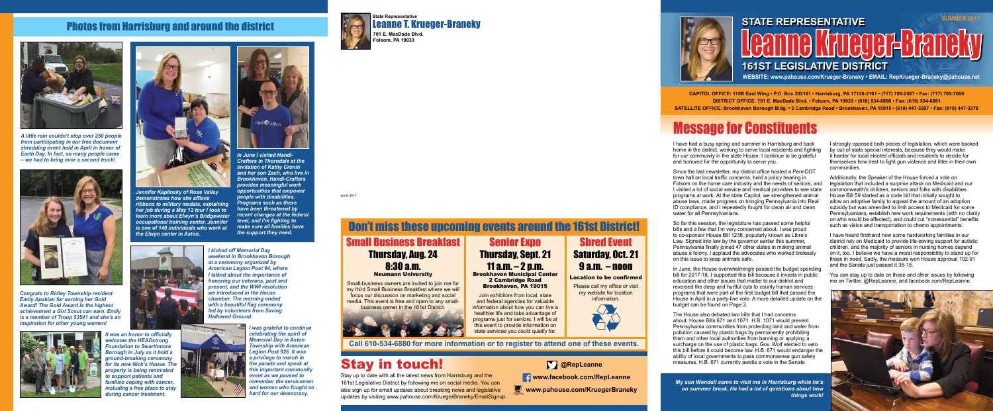## Photos from Harrisburg and around the district



*from participating in our free document shredding event held in April in honor of Earth Day. In fact, so many people came – we had to bring over a second truck!*



*Congrats to Ridley Township resident Emily Apakian for earning her Gold Award! The Gold Award is the highest achievement a Girl Scout can earn. Emily is a member of Troup 53541 and she's an inspiration for other young women!*



*It was an honor to officially welcome the HEADstrong Foundation to Swarthmore Borough in July as it held a ground-breaking ceremony for its new Nick's House. The property is being renovated to support patients and families coping with cancer, including a free place to stay during cancer treatment.*



*Jennifer Kaplinsky of Rose Valley demonstrates how she affixes ribbons to military medals, explaining her job during a May 12 tour I took to learn more about Elwyn's Bridgewater occupational training center. Jennifer is one of 140 individuals who work at the Elwyn center in Aston.*



*In June I visited Handi-Crafters in Thorndale at the invitation of Kathy Cronin and her son Zach, who live in Brookhaven. Handi-Crafters provides meaningful work opportunities that empower people with disabilities. Programs such as these have been threatened by recent changes at the federal level, and I'm fighting to make sure all families have the support they need.*



*I kicked off Memorial Day weekend in Brookhaven Borough at a ceremony organized by American Legion Post 94, where I talked about the importance of honoring our veterans, past and present, and the WWI resolution we introduced in the House chamber. The morning ended with a beautiful flag ceremony led by volunteers from Saving Hallowed Ground.*



*I was grateful to continue celebrating the spirit of Memorial Day in Aston Township with American Legion Post 926. It was a privilege to march in the parade and speak at this important community event as we paused to remember the servicemen and women who fought so hard for our democracy.*